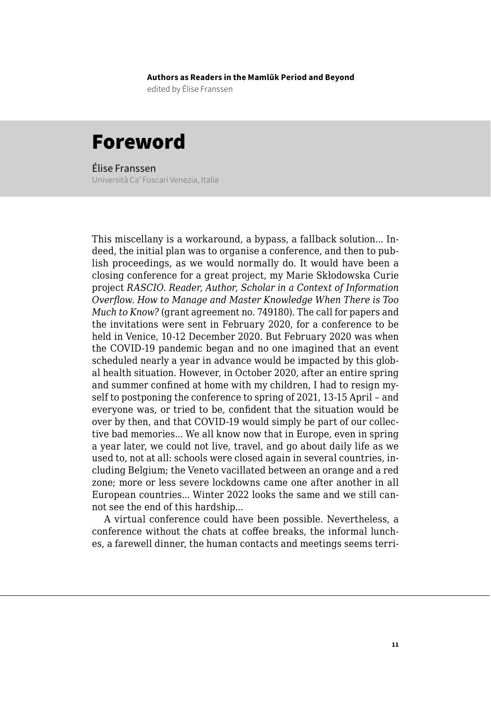**Authors as Readers in the Mamlūk Period and Beyond**

edited by Élise Franssen

## Foreword

Élise Franssen Università Ca' Foscari Venezia, Italia

This miscellany is a workaround, a bypass, a fallback solution... Indeed, the initial plan was to organise a conference, and then to publish proceedings, as we would normally do. It would have been a closing conference for a great project, my Marie Skłodowska Curie project *RASCIO. Reader, Author, Scholar in a Context of Information Overflow. How to Manage and Master Knowledge When There is Too Much to Know?* (grant agreement no. 749180). The call for papers and the invitations were sent in February 2020, for a conference to be held in Venice, 10-12 December 2020. But February 2020 was when the COVID-19 pandemic began and no one imagined that an event scheduled nearly a year in advance would be impacted by this global health situation. However, in October 2020, after an entire spring and summer confined at home with my children, I had to resign myself to postponing the conference to spring of 2021, 13-15 April – and everyone was, or tried to be, confident that the situation would be over by then, and that COVID-19 would simply be part of our collective bad memories... We all know now that in Europe, even in spring a year later, we could not live, travel, and go about daily life as we used to, not at all: schools were closed again in several countries, including Belgium; the Veneto vacillated between an orange and a red zone; more or less severe lockdowns came one after another in all European countries... Winter 2022 looks the same and we still cannot see the end of this hardship...

A virtual conference could have been possible. Nevertheless, a conference without the chats at coffee breaks, the informal lunches, a farewell dinner, the human contacts and meetings seems terri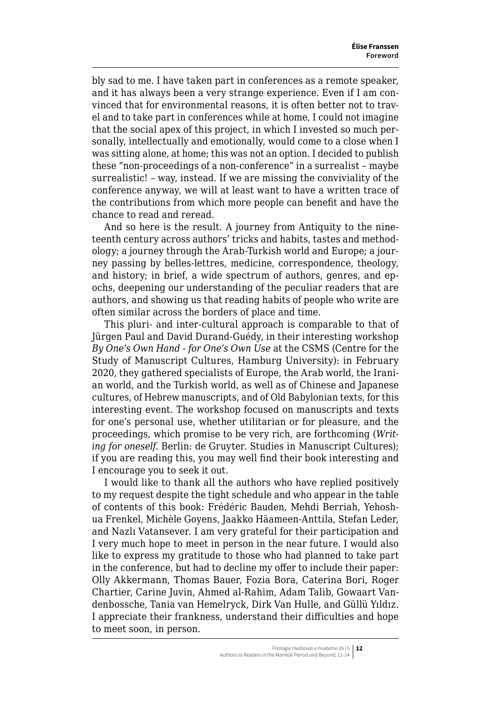bly sad to me. I have taken part in conferences as a remote speaker, and it has always been a very strange experience. Even if I am convinced that for environmental reasons, it is often better not to travel and to take part in conferences while at home, I could not imagine that the social apex of this project, in which I invested so much personally, intellectually and emotionally, would come to a close when I was sitting alone, at home; this was not an option. I decided to publish these "non-proceedings of a non-conference" in a surrealist – maybe surrealistic! – way, instead. If we are missing the conviviality of the conference anyway, we will at least want to have a written trace of the contributions from which more people can benefit and have the chance to read and reread.

And so here is the result. A journey from Antiquity to the nineteenth century across authors' tricks and habits, tastes and methodology; a journey through the Arab-Turkish world and Europe; a journey passing by belles-lettres, medicine, correspondence, theology, and history; in brief, a wide spectrum of authors, genres, and epochs, deepening our understanding of the peculiar readers that are authors, and showing us that reading habits of people who write are often similar across the borders of place and time.

This pluri- and inter-cultural approach is comparable to that of Jürgen Paul and David Durand-Guédy, in their interesting workshop *By One's Own Hand - for One's Own Use* at the CSMS (Centre for the Study of Manuscript Cultures, Hamburg University): in February 2020, they gathered specialists of Europe, the Arab world, the Iranian world, and the Turkish world, as well as of Chinese and Japanese cultures, of Hebrew manuscripts, and of Old Babylonian texts, for this interesting event. The workshop focused on manuscripts and texts for one's personal use, whether utilitarian or for pleasure, and the proceedings, which promise to be very rich, are forthcoming (*Writing for oneself*. Berlin: de Gruyter. Studies in Manuscript Cultures); if you are reading this, you may well find their book interesting and I encourage you to seek it out.

I would like to thank all the authors who have replied positively to my request despite the tight schedule and who appear in the table of contents of this book: Frédéric Bauden, Mehdi Berriah, Yehoshua Frenkel, Michèle Goyens, Jaakko Häameen-Anttila, Stefan Leder, and Nazlı Vatansever. I am very grateful for their participation and I very much hope to meet in person in the near future. I would also like to express my gratitude to those who had planned to take part in the conference, but had to decline my offer to include their paper: Olly Akkermann, Thomas Bauer, Fozia Bora, Caterina Bori, Roger Chartier, Carine Juvin, Ahmed al-Rahim, Adam Talib, Gowaart Vandenbossche, Tania van Hemelryck, Dirk Van Hulle, and Güllü Yıldız. I appreciate their frankness, understand their difficulties and hope to meet soon, in person.